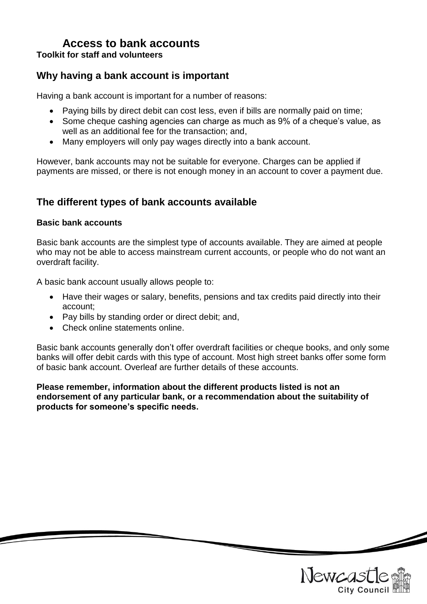### **Access to bank accounts Toolkit for staff and volunteers**

## **Why having a bank account is important**

Having a bank account is important for a number of reasons:

- Paying bills by direct debit can cost less, even if bills are normally paid on time;
- Some cheque cashing agencies can charge as much as 9% of a cheque's value, as well as an additional fee for the transaction; and,
- Many employers will only pay wages directly into a bank account.

However, bank accounts may not be suitable for everyone. Charges can be applied if payments are missed, or there is not enough money in an account to cover a payment due.

## **The different types of bank accounts available**

#### **Basic bank accounts**

Basic bank accounts are the simplest type of accounts available. They are aimed at people who may not be able to access mainstream current accounts, or people who do not want an overdraft facility.

A basic bank account usually allows people to:

- Have their wages or salary, benefits, pensions and tax credits paid directly into their account;
- Pay bills by standing order or direct debit; and,
- Check online statements online.

Basic bank accounts generally don't offer overdraft facilities or cheque books, and only some banks will offer debit cards with this type of account. Most high street banks offer some form of basic bank account. Overleaf are further details of these accounts.

**Please remember, information about the different products listed is not an endorsement of any particular bank, or a recommendation about the suitability of products for someone's specific needs.**

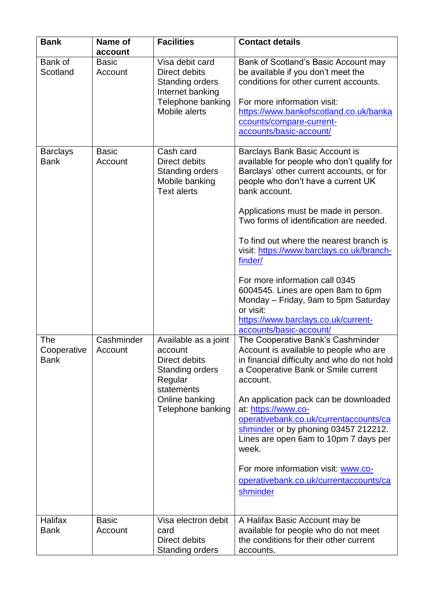| <b>Bank</b>                       | Name of<br>account      | <b>Facilities</b>                                                                                                                          | <b>Contact details</b>                                                                                                                                                                                                                                                                                                                                                                                                                                                                                                                                                      |
|-----------------------------------|-------------------------|--------------------------------------------------------------------------------------------------------------------------------------------|-----------------------------------------------------------------------------------------------------------------------------------------------------------------------------------------------------------------------------------------------------------------------------------------------------------------------------------------------------------------------------------------------------------------------------------------------------------------------------------------------------------------------------------------------------------------------------|
| Bank of<br>Scotland               | <b>Basic</b><br>Account | Visa debit card<br>Direct debits<br><b>Standing orders</b><br>Internet banking<br>Telephone banking<br>Mobile alerts                       | Bank of Scotland's Basic Account may<br>be available if you don't meet the<br>conditions for other current accounts.<br>For more information visit:<br>https://www.bankofscotland.co.uk/banka<br>ccounts/compare-current-<br>accounts/basic-account/                                                                                                                                                                                                                                                                                                                        |
| <b>Barclays</b><br><b>Bank</b>    | <b>Basic</b><br>Account | Cash card<br>Direct debits<br><b>Standing orders</b><br>Mobile banking<br><b>Text alerts</b>                                               | <b>Barclays Bank Basic Account is</b><br>available for people who don't qualify for<br>Barclays' other current accounts, or for<br>people who don't have a current UK<br>bank account.<br>Applications must be made in person.<br>Two forms of identification are needed.<br>To find out where the nearest branch is<br>visit: https://www.barclays.co.uk/branch-<br>finder/<br>For more information call 0345<br>6004545. Lines are open 8am to 6pm<br>Monday – Friday, 9am to 5pm Saturday<br>or visit:<br>https://www.barclays.co.uk/current-<br>accounts/basic-account/ |
| The<br>Cooperative<br><b>Bank</b> | Cashminder<br>Account   | Available as a joint<br>account<br>Direct debits<br><b>Standing orders</b><br>Regular<br>statements<br>Online banking<br>Telephone banking | The Cooperative Bank's Cashminder<br>Account is available to people who are<br>in financial difficulty and who do not hold<br>a Cooperative Bank or Smile current<br>account.<br>An application pack can be downloaded<br>at: https://www.co-<br>operativebank.co.uk/currentaccounts/ca<br>shminder or by phoning 03457 212212.<br>Lines are open 6am to 10pm 7 days per<br>week.<br>For more information visit: www.co-<br>operativebank.co.uk/currentaccounts/ca<br>shminder                                                                                              |
| <b>Halifax</b><br><b>Bank</b>     | <b>Basic</b><br>Account | Visa electron debit<br>card<br>Direct debits<br><b>Standing orders</b>                                                                     | A Halifax Basic Account may be<br>available for people who do not meet<br>the conditions for their other current<br>accounts.                                                                                                                                                                                                                                                                                                                                                                                                                                               |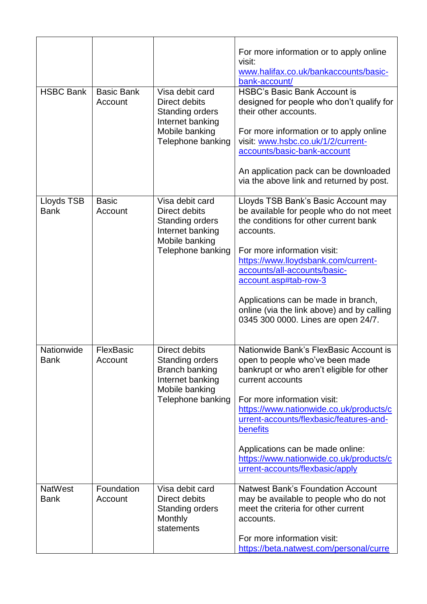| <b>HSBC Bank</b>              | <b>Basic Bank</b><br>Account | Visa debit card<br>Direct debits<br><b>Standing orders</b><br>Internet banking<br>Mobile banking<br>Telephone banking | For more information or to apply online<br>visit:<br>www.halifax.co.uk/bankaccounts/basic-<br>bank-account/<br><b>HSBC's Basic Bank Account is</b><br>designed for people who don't qualify for<br>their other accounts.<br>For more information or to apply online<br>visit: www.hsbc.co.uk/1/2/current-<br>accounts/basic-bank-account<br>An application pack can be downloaded<br>via the above link and returned by post. |
|-------------------------------|------------------------------|-----------------------------------------------------------------------------------------------------------------------|-------------------------------------------------------------------------------------------------------------------------------------------------------------------------------------------------------------------------------------------------------------------------------------------------------------------------------------------------------------------------------------------------------------------------------|
| Lloyds TSB<br><b>Bank</b>     | <b>Basic</b><br>Account      | Visa debit card<br>Direct debits<br><b>Standing orders</b><br>Internet banking<br>Mobile banking<br>Telephone banking | Lloyds TSB Bank's Basic Account may<br>be available for people who do not meet<br>the conditions for other current bank<br>accounts.<br>For more information visit:<br>https://www.lloydsbank.com/current-<br>accounts/all-accounts/basic-<br>account.asp#tab-row-3<br>Applications can be made in branch,<br>online (via the link above) and by calling<br>0345 300 0000. Lines are open 24/7.                               |
| Nationwide<br><b>Bank</b>     | FlexBasic<br>Account         | Direct debits<br><b>Standing orders</b><br>Branch banking<br>Internet banking<br>Mobile banking<br>Telephone banking  | Nationwide Bank's FlexBasic Account is<br>open to people who've been made<br>bankrupt or who aren't eligible for other<br>current accounts<br>For more information visit:<br>https://www.nationwide.co.uk/products/c<br>urrent-accounts/flexbasic/features-and-<br>benefits<br>Applications can be made online:<br>https://www.nationwide.co.uk/products/c<br>urrent-accounts/flexbasic/apply                                 |
| <b>NatWest</b><br><b>Bank</b> | Foundation<br>Account        | Visa debit card<br>Direct debits<br><b>Standing orders</b><br><b>Monthly</b><br>statements                            | <b>Natwest Bank's Foundation Account</b><br>may be available to people who do not<br>meet the criteria for other current<br>accounts.<br>For more information visit:<br>https://beta.natwest.com/personal/curre                                                                                                                                                                                                               |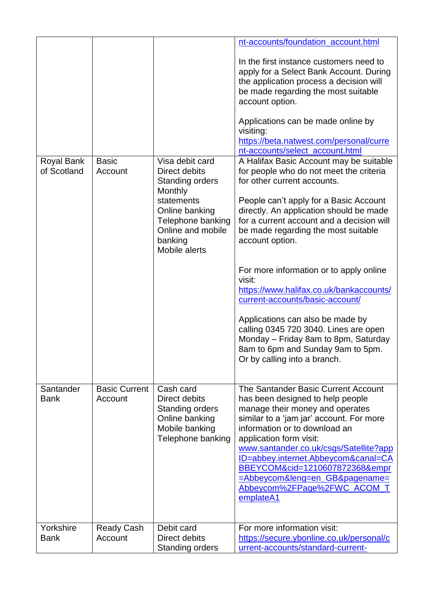|                           |                                 |                                                                                                                                                                             | nt-accounts/foundation_account.html<br>In the first instance customers need to<br>apply for a Select Bank Account. During<br>the application process a decision will<br>be made regarding the most suitable<br>account option.<br>Applications can be made online by<br>visiting:<br>https://beta.natwest.com/personal/curre<br>nt-accounts/select_account.html                                                                                                                                                                                                                                            |
|---------------------------|---------------------------------|-----------------------------------------------------------------------------------------------------------------------------------------------------------------------------|------------------------------------------------------------------------------------------------------------------------------------------------------------------------------------------------------------------------------------------------------------------------------------------------------------------------------------------------------------------------------------------------------------------------------------------------------------------------------------------------------------------------------------------------------------------------------------------------------------|
| Royal Bank<br>of Scotland | <b>Basic</b><br>Account         | Visa debit card<br>Direct debits<br><b>Standing orders</b><br>Monthly<br>statements<br>Online banking<br>Telephone banking<br>Online and mobile<br>banking<br>Mobile alerts | A Halifax Basic Account may be suitable<br>for people who do not meet the criteria<br>for other current accounts.<br>People can't apply for a Basic Account<br>directly. An application should be made<br>for a current account and a decision will<br>be made regarding the most suitable<br>account option.<br>For more information or to apply online<br>visit:<br>https://www.halifax.co.uk/bankaccounts/<br>current-accounts/basic-account/<br>Applications can also be made by<br>calling 0345 720 3040. Lines are open<br>Monday - Friday 8am to 8pm, Saturday<br>8am to 6pm and Sunday 9am to 5pm. |
|                           |                                 |                                                                                                                                                                             | Or by calling into a branch.                                                                                                                                                                                                                                                                                                                                                                                                                                                                                                                                                                               |
| Santander<br><b>Bank</b>  | <b>Basic Current</b><br>Account | Cash card<br>Direct debits<br><b>Standing orders</b><br>Online banking<br>Mobile banking<br>Telephone banking                                                               | The Santander Basic Current Account<br>has been designed to help people<br>manage their money and operates<br>similar to a 'jam jar' account. For more<br>information or to download an<br>application form visit:<br>www.santander.co.uk/csgs/Satellite?app<br>ID=abbey.internet.Abbeycom&canal=CA<br>BBEYCOM&cid=1210607872368&empr<br>=Abbeycom&leng=en_GB&pagename=<br>Abbeycom%2FPage%2FWC_ACOM_T<br>emplateA1                                                                                                                                                                                        |
| Yorkshire<br><b>Bank</b>  | <b>Ready Cash</b><br>Account    | Debit card<br>Direct debits<br><b>Standing orders</b>                                                                                                                       | For more information visit:<br>https://secure.ybonline.co.uk/personal/c<br>urrent-accounts/standard-current-                                                                                                                                                                                                                                                                                                                                                                                                                                                                                               |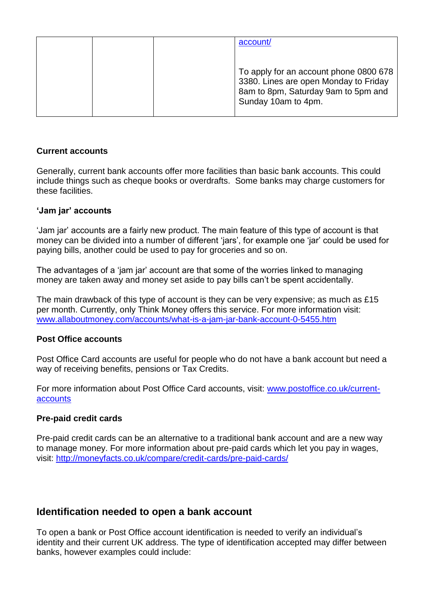|  | account/                                                                                                                                      |
|--|-----------------------------------------------------------------------------------------------------------------------------------------------|
|  |                                                                                                                                               |
|  | To apply for an account phone 0800 678<br>3380. Lines are open Monday to Friday<br>8am to 8pm, Saturday 9am to 5pm and<br>Sunday 10am to 4pm. |

#### **Current accounts**

Generally, current bank accounts offer more facilities than basic bank accounts. This could include things such as cheque books or overdrafts. Some banks may charge customers for these facilities.

### **'Jam jar' accounts**

'Jam jar' accounts are a fairly new product. The main feature of this type of account is that money can be divided into a number of different 'jars', for example one 'jar' could be used for paying bills, another could be used to pay for groceries and so on.

The advantages of a 'jam jar' account are that some of the worries linked to managing money are taken away and money set aside to pay bills can't be spent accidentally.

The main drawback of this type of account is they can be very expensive; as much as £15 per month. Currently, only Think Money offers this service. For more information visit: [www.allaboutmoney.com/accounts/what-is-a-jam-jar-bank-account-0-5455.htm](http://www.allaboutmoney.com/accounts/what-is-a-jam-jar-bank-account-0-5455.htm)

### **Post Office accounts**

Post Office Card accounts are useful for people who do not have a bank account but need a way of receiving benefits, pensions or Tax Credits.

For more information about Post Office Card accounts, visit: [www.postoffice.co.uk/current](http://www.postoffice.co.uk/current-accounts)[accounts](http://www.postoffice.co.uk/current-accounts)

### **Pre-paid credit cards**

Pre-paid credit cards can be an alternative to a traditional bank account and are a new way to manage money. For more information about pre-paid cards which let you pay in wages, visit:<http://moneyfacts.co.uk/compare/credit-cards/pre-paid-cards/>

## **Identification needed to open a bank account**

To open a bank or Post Office account identification is needed to verify an individual's identity and their current UK address. The type of identification accepted may differ between banks, however examples could include: